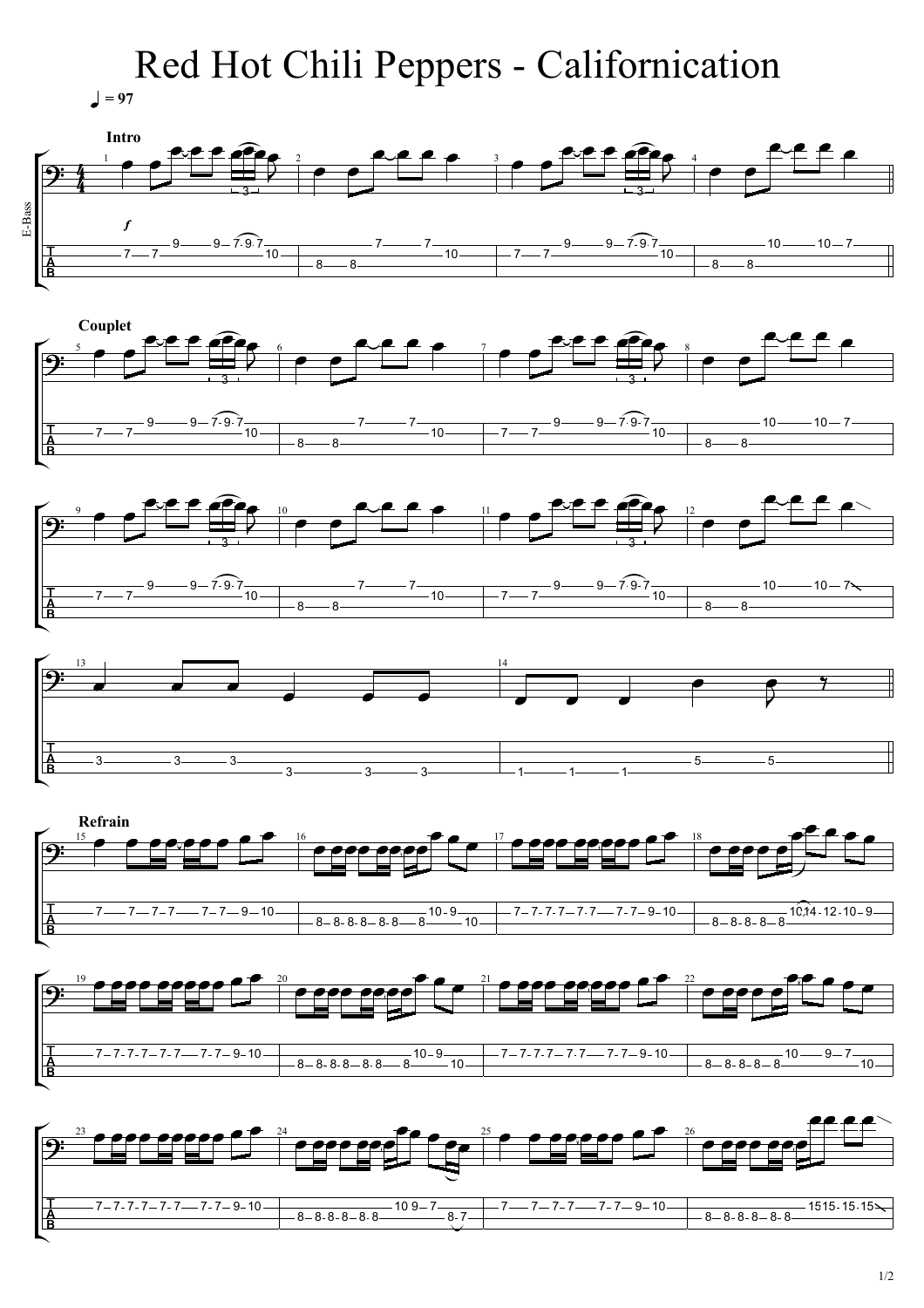## Red Hot Chili Peppers - Californication

 $= 97$